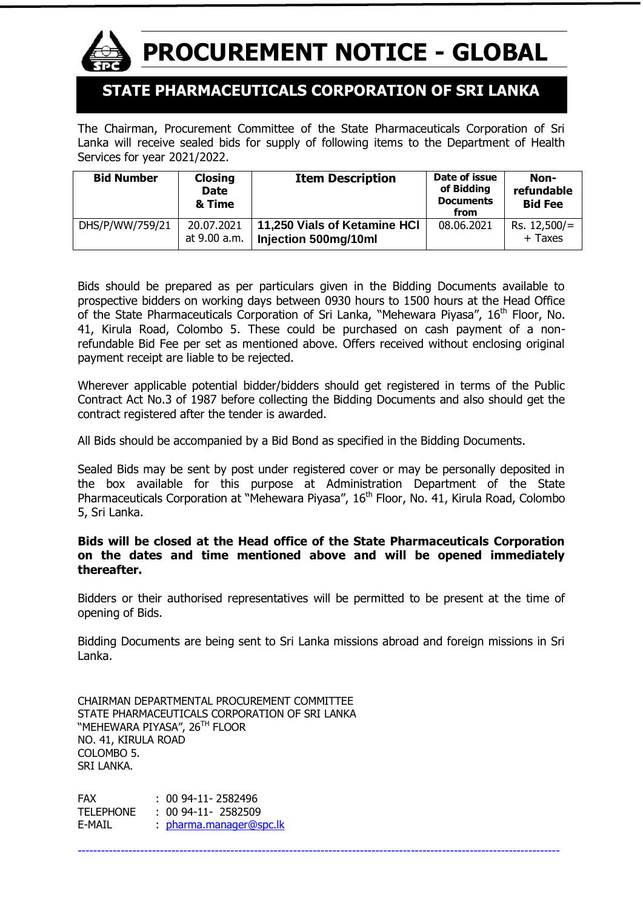

# **PROCUREMENT NOTICE - GLOBAL**

## **STATE PHARMACEUTICALS CORPORATION OF SRI LANKA**

The Chairman, Procurement Committee of the State Pharmaceuticals Corporation of Sri Lanka will receive sealed bids for supply of following items to the Department of Health Services for year 2021/2022.

| <b>Bid Number</b> | <b>Closing</b><br><b>Date</b><br>& Time | <b>Item Description</b>                              | Date of issue<br>of Bidding<br><b>Documents</b><br>from | Non-<br>refundable<br><b>Bid Fee</b> |
|-------------------|-----------------------------------------|------------------------------------------------------|---------------------------------------------------------|--------------------------------------|
| DHS/P/WW/759/21   | 20.07.2021<br>at 9.00 a.m.              | 11,250 Vials of Ketamine HCI<br>Injection 500mg/10ml | 08.06.2021                                              | Rs. $12,500/$ =<br>+ Taxes           |

Bids should be prepared as per particulars given in the Bidding Documents available to prospective bidders on working days between 0930 hours to 1500 hours at the Head Office of the State Pharmaceuticals Corporation of Sri Lanka, "Mehewara Piyasa", 16<sup>th</sup> Floor, No. 41, Kirula Road, Colombo 5. These could be purchased on cash payment of a nonrefundable Bid Fee per set as mentioned above. Offers received without enclosing original payment receipt are liable to be rejected.

Wherever applicable potential bidder/bidders should get registered in terms of the Public Contract Act No.3 of 1987 before collecting the Bidding Documents and also should get the contract registered after the tender is awarded.

All Bids should be accompanied by a Bid Bond as specified in the Bidding Documents.

Sealed Bids may be sent by post under registered cover or may be personally deposited in the box available for this purpose at Administration Department of the State Pharmaceuticals Corporation at "Mehewara Piyasa", 16<sup>th</sup> Floor, No. 41, Kirula Road, Colombo 5, Sri Lanka.

#### **Bids will be closed at the Head office of the State Pharmaceuticals Corporation on the dates and time mentioned above and will be opened immediately thereafter.**

Bidders or their authorised representatives will be permitted to be present at the time of opening of Bids.

Bidding Documents are being sent to Sri Lanka missions abroad and foreign missions in Sri Lanka.

---------------------------------------------------------------------------------------------------------------------------

CHAIRMAN DEPARTMENTAL PROCUREMENT COMMITTEE STATE PHARMACEUTICALS CORPORATION OF SRI LANKA "MEHEWARA PIYASA", 26<sup>th</sup> Floor NO. 41, KIRULA ROAD COLOMBO 5. SRI LANKA.

FAX : 00 94-11- 2582496 TELEPHONE : 00 94-11- 2582509 E-MAIL : [pharma.manager@spc.lk](mailto:pharma.manager@spc.lk)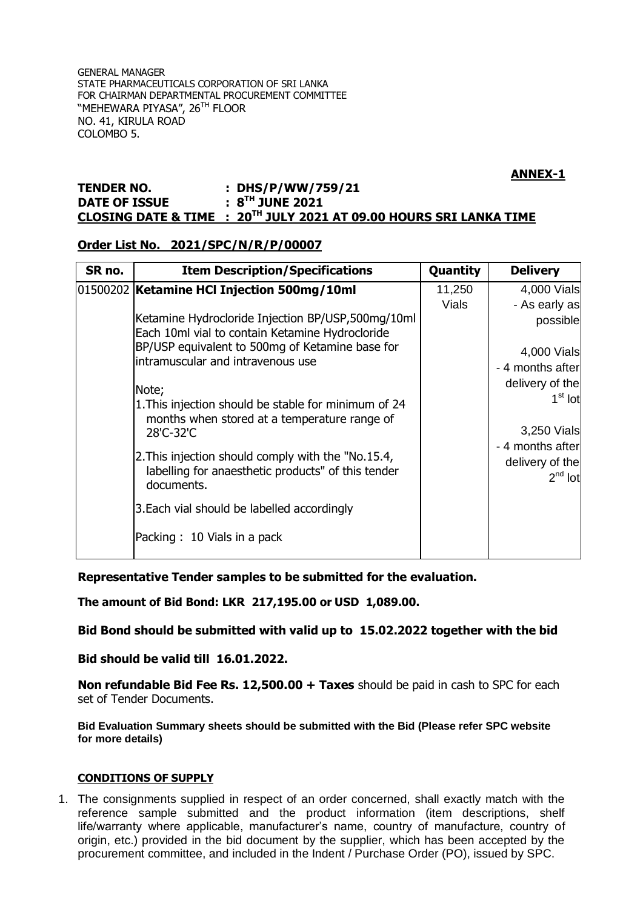GENERAL MANAGER STATE PHARMACEUTICALS CORPORATION OF SRI LANKA FOR CHAIRMAN DEPARTMENTAL PROCUREMENT COMMITTEE ``MEHEWARA PIYASA", 26<sup>th</sup> FLOOR NO. 41, KIRULA ROAD COLOMBO 5.

#### **ANNEX-1**

#### **TENDER NO. : DHS/P/WW/759/21 DATE OF ISSUE TH JUNE 2021 CLOSING DATE & TIME : 20TH JULY 2021 AT 09.00 HOURS SRI LANKA TIME**

#### **Order List No. 2021/SPC/N/R/P/00007**

| SR no. | <b>Item Description/Specifications</b>                                                                                                                                                                                                                                                                                                                                                                                                                                                                                     | Quantity     | <b>Delivery</b>                                                                                                                                                 |
|--------|----------------------------------------------------------------------------------------------------------------------------------------------------------------------------------------------------------------------------------------------------------------------------------------------------------------------------------------------------------------------------------------------------------------------------------------------------------------------------------------------------------------------------|--------------|-----------------------------------------------------------------------------------------------------------------------------------------------------------------|
|        | 01500202 Ketamine HCI Injection 500mg/10ml                                                                                                                                                                                                                                                                                                                                                                                                                                                                                 | 11,250       | 4,000 Vials                                                                                                                                                     |
| Note;  | Ketamine Hydrocloride Injection BP/USP,500mg/10ml<br>Each 10ml vial to contain Ketamine Hydrocloride<br>BP/USP equivalent to 500mg of Ketamine base for<br>intramuscular and intravenous use<br>1. This injection should be stable for minimum of 24<br>months when stored at a temperature range of<br>28'C-32'C<br>2. This injection should comply with the "No. 15.4,<br>labelling for anaesthetic products" of this tender<br>documents.<br>3. Each vial should be labelled accordingly<br>Packing: 10 Vials in a pack | <b>Vials</b> | - As early as<br>possible<br>4,000 Vials<br>- 4 months after<br>delivery of the<br>$1st$ lot<br>3,250 Vials<br>- 4 months after<br>delivery of the<br>$2nd$ lot |

**Representative Tender samples to be submitted for the evaluation.**

**The amount of Bid Bond: LKR 217,195.00 or USD 1,089.00.**

**Bid Bond should be submitted with valid up to 15.02.2022 together with the bid**

**Bid should be valid till 16.01.2022.**

**Non refundable Bid Fee Rs. 12,500.00 + Taxes** should be paid in cash to SPC for each set of Tender Documents.

**Bid Evaluation Summary sheets should be submitted with the Bid (Please refer SPC website for more details)**

#### **CONDITIONS OF SUPPLY**

1. The consignments supplied in respect of an order concerned, shall exactly match with the reference sample submitted and the product information (item descriptions, shelf life/warranty where applicable, manufacturer's name, country of manufacture, country of origin, etc.) provided in the bid document by the supplier, which has been accepted by the procurement committee, and included in the Indent / Purchase Order (PO), issued by SPC.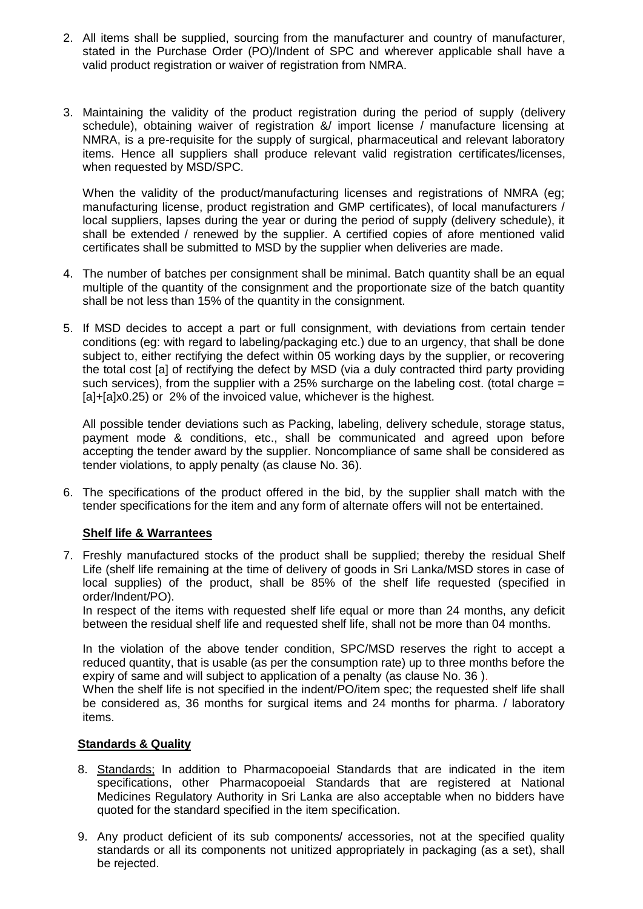- 2. All items shall be supplied, sourcing from the manufacturer and country of manufacturer, stated in the Purchase Order (PO)/Indent of SPC and wherever applicable shall have a valid product registration or waiver of registration from NMRA.
- 3. Maintaining the validity of the product registration during the period of supply (delivery schedule), obtaining waiver of registration &/ import license / manufacture licensing at NMRA, is a pre-requisite for the supply of surgical, pharmaceutical and relevant laboratory items. Hence all suppliers shall produce relevant valid registration certificates/licenses, when requested by MSD/SPC.

When the validity of the product/manufacturing licenses and registrations of NMRA (eg; manufacturing license, product registration and GMP certificates), of local manufacturers / local suppliers, lapses during the year or during the period of supply (delivery schedule), it shall be extended / renewed by the supplier. A certified copies of afore mentioned valid certificates shall be submitted to MSD by the supplier when deliveries are made.

- 4. The number of batches per consignment shall be minimal. Batch quantity shall be an equal multiple of the quantity of the consignment and the proportionate size of the batch quantity shall be not less than 15% of the quantity in the consignment.
- 5. If MSD decides to accept a part or full consignment, with deviations from certain tender conditions (eg: with regard to labeling/packaging etc.) due to an urgency, that shall be done subiect to, either rectifying the defect within 05 working days by the supplier, or recovering the total cost [a] of rectifying the defect by MSD (via a duly contracted third party providing such services), from the supplier with a 25% surcharge on the labeling cost. (total charge = [a]+[a]x0.25) or 2% of the invoiced value, whichever is the highest.

All possible tender deviations such as Packing, labeling, delivery schedule, storage status, payment mode & conditions, etc., shall be communicated and agreed upon before accepting the tender award by the supplier. Noncompliance of same shall be considered as tender violations, to apply penalty (as clause No. 36).

6. The specifications of the product offered in the bid, by the supplier shall match with the tender specifications for the item and any form of alternate offers will not be entertained.

#### **Shelf life & Warrantees**

7. Freshly manufactured stocks of the product shall be supplied; thereby the residual Shelf Life (shelf life remaining at the time of delivery of goods in Sri Lanka/MSD stores in case of local supplies) of the product, shall be 85% of the shelf life requested (specified in order/Indent/PO).

In respect of the items with requested shelf life equal or more than 24 months, any deficit between the residual shelf life and requested shelf life, shall not be more than 04 months.

In the violation of the above tender condition, SPC/MSD reserves the right to accept a reduced quantity, that is usable (as per the consumption rate) up to three months before the expiry of same and will subject to application of a penalty (as clause No. 36 ).

When the shelf life is not specified in the indent/PO/item spec; the requested shelf life shall be considered as, 36 months for surgical items and 24 months for pharma. / laboratory items.

#### **Standards & Quality**

- 8. Standards; In addition to Pharmacopoeial Standards that are indicated in the item specifications, other Pharmacopoeial Standards that are registered at National Medicines Regulatory Authority in Sri Lanka are also acceptable when no bidders have quoted for the standard specified in the item specification.
- 9. Any product deficient of its sub components/ accessories, not at the specified quality standards or all its components not unitized appropriately in packaging (as a set), shall be rejected.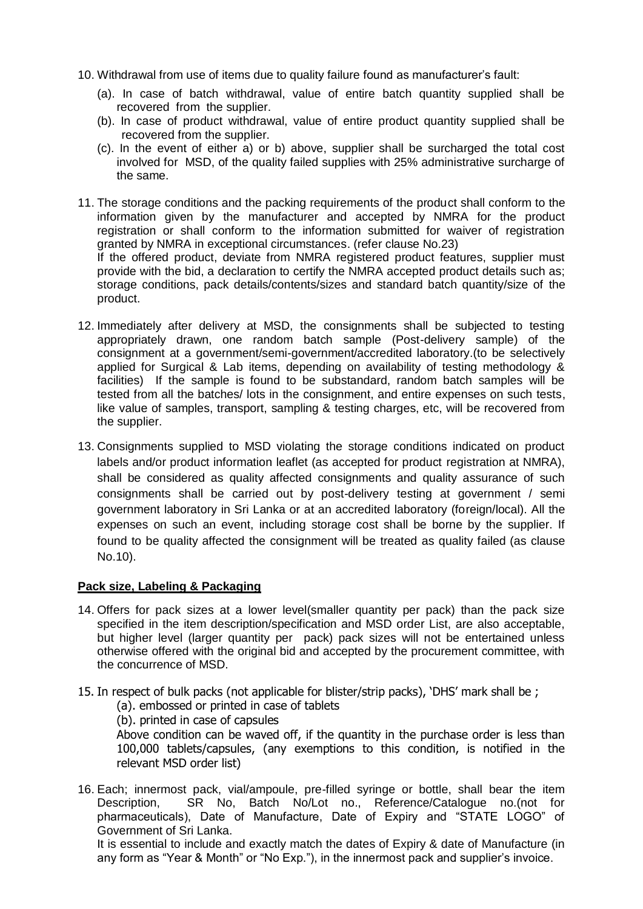- 10. Withdrawal from use of items due to quality failure found as manufacturer"s fault:
	- (a). In case of batch withdrawal, value of entire batch quantity supplied shall be recovered from the supplier.
	- (b). In case of product withdrawal, value of entire product quantity supplied shall be recovered from the supplier.
	- (c). In the event of either a) or b) above, supplier shall be surcharged the total cost involved for MSD, of the quality failed supplies with 25% administrative surcharge of the same.
- 11. The storage conditions and the packing requirements of the product shall conform to the information given by the manufacturer and accepted by NMRA for the product registration or shall conform to the information submitted for waiver of registration granted by NMRA in exceptional circumstances. (refer clause No.23) If the offered product, deviate from NMRA registered product features, supplier must provide with the bid, a declaration to certify the NMRA accepted product details such as; storage conditions, pack details/contents/sizes and standard batch quantity/size of the product.
- 12. Immediately after delivery at MSD, the consignments shall be subjected to testing appropriately drawn, one random batch sample (Post-delivery sample) of the consignment at a government/semi-government/accredited laboratory.(to be selectively applied for Surgical & Lab items, depending on availability of testing methodology & facilities) If the sample is found to be substandard, random batch samples will be tested from all the batches/ lots in the consignment, and entire expenses on such tests, like value of samples, transport, sampling & testing charges, etc, will be recovered from the supplier.
- 13. Consignments supplied to MSD violating the storage conditions indicated on product labels and/or product information leaflet (as accepted for product registration at NMRA), shall be considered as quality affected consignments and quality assurance of such consignments shall be carried out by post-delivery testing at government / semi government laboratory in Sri Lanka or at an accredited laboratory (foreign/local). All the expenses on such an event, including storage cost shall be borne by the supplier. If found to be quality affected the consignment will be treated as quality failed (as clause No.10).

#### **Pack size, Labeling & Packaging**

- 14. Offers for pack sizes at a lower level(smaller quantity per pack) than the pack size specified in the item description/specification and MSD order List, are also acceptable, but higher level (larger quantity per pack) pack sizes will not be entertained unless otherwise offered with the original bid and accepted by the procurement committee, with the concurrence of MSD.
- 15. In respect of bulk packs (not applicable for blister/strip packs), 'DHS' mark shall be ;
	- (a). embossed or printed in case of tablets
	- (b). printed in case of capsules

Above condition can be waved off, if the quantity in the purchase order is less than 100,000 tablets/capsules, (any exemptions to this condition, is notified in the relevant MSD order list)

16. Each; innermost pack, vial/ampoule, pre-filled syringe or bottle, shall bear the item Description, SR No, Batch No/Lot no., Reference/Catalogue no.(not for pharmaceuticals), Date of Manufacture, Date of Expiry and "STATE LOGO" of Government of Sri Lanka. It is essential to include and exactly match the dates of Expiry & date of Manufacture (in any form as "Year & Month" or "No Exp."), in the innermost pack and supplier"s invoice.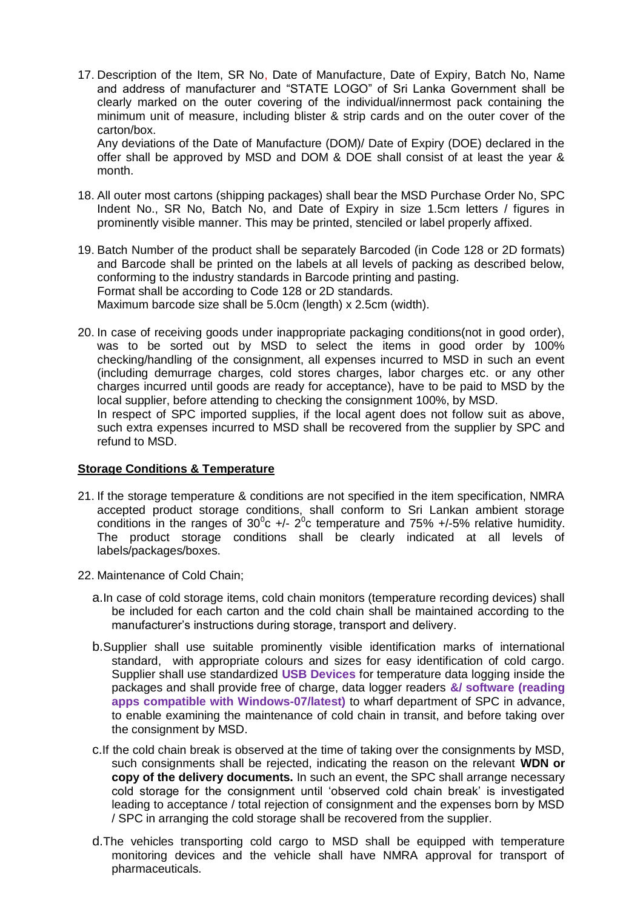17. Description of the Item, SR No, Date of Manufacture, Date of Expiry, Batch No, Name and address of manufacturer and "STATE LOGO" of Sri Lanka Government shall be clearly marked on the outer covering of the individual/innermost pack containing the minimum unit of measure, including blister & strip cards and on the outer cover of the carton/box.

Any deviations of the Date of Manufacture (DOM)/ Date of Expiry (DOE) declared in the offer shall be approved by MSD and DOM & DOE shall consist of at least the year & month.

- 18. All outer most cartons (shipping packages) shall bear the MSD Purchase Order No, SPC Indent No., SR No, Batch No, and Date of Expiry in size 1.5cm letters / figures in prominently visible manner. This may be printed, stenciled or label properly affixed.
- 19. Batch Number of the product shall be separately Barcoded (in Code 128 or 2D formats) and Barcode shall be printed on the labels at all levels of packing as described below, conforming to the industry standards in Barcode printing and pasting. Format shall be according to Code 128 or 2D standards. Maximum barcode size shall be 5.0cm (length) x 2.5cm (width).
- 20. In case of receiving goods under inappropriate packaging conditions(not in good order), was to be sorted out by MSD to select the items in good order by 100% checking/handling of the consignment, all expenses incurred to MSD in such an event (including demurrage charges, cold stores charges, labor charges etc. or any other charges incurred until goods are ready for acceptance), have to be paid to MSD by the local supplier, before attending to checking the consignment 100%, by MSD. In respect of SPC imported supplies, if the local agent does not follow suit as above,

such extra expenses incurred to MSD shall be recovered from the supplier by SPC and refund to MSD.

#### **Storage Conditions & Temperature**

- 21. If the storage temperature & conditions are not specified in the item specification, NMRA accepted product storage conditions, shall conform to Sri Lankan ambient storage conditions in the ranges of  $30^{\circ}$ c +/-  $2^{\circ}$ c temperature and 75% +/-5% relative humidity. The product storage conditions shall be clearly indicated at all levels of labels/packages/boxes.
- 22. Maintenance of Cold Chain;
	- a.In case of cold storage items, cold chain monitors (temperature recording devices) shall be included for each carton and the cold chain shall be maintained according to the manufacturer"s instructions during storage, transport and delivery.
	- b.Supplier shall use suitable prominently visible identification marks of international standard, with appropriate colours and sizes for easy identification of cold cargo. Supplier shall use standardized **USB Devices** for temperature data logging inside the packages and shall provide free of charge, data logger readers **&/ software (reading apps compatible with Windows-07/latest)** to wharf department of SPC in advance, to enable examining the maintenance of cold chain in transit, and before taking over the consignment by MSD.
	- c.If the cold chain break is observed at the time of taking over the consignments by MSD, such consignments shall be rejected, indicating the reason on the relevant **WDN or copy of the delivery documents.** In such an event, the SPC shall arrange necessary cold storage for the consignment until 'observed cold chain break' is investigated leading to acceptance / total rejection of consignment and the expenses born by MSD / SPC in arranging the cold storage shall be recovered from the supplier.
	- d.The vehicles transporting cold cargo to MSD shall be equipped with temperature monitoring devices and the vehicle shall have NMRA approval for transport of pharmaceuticals.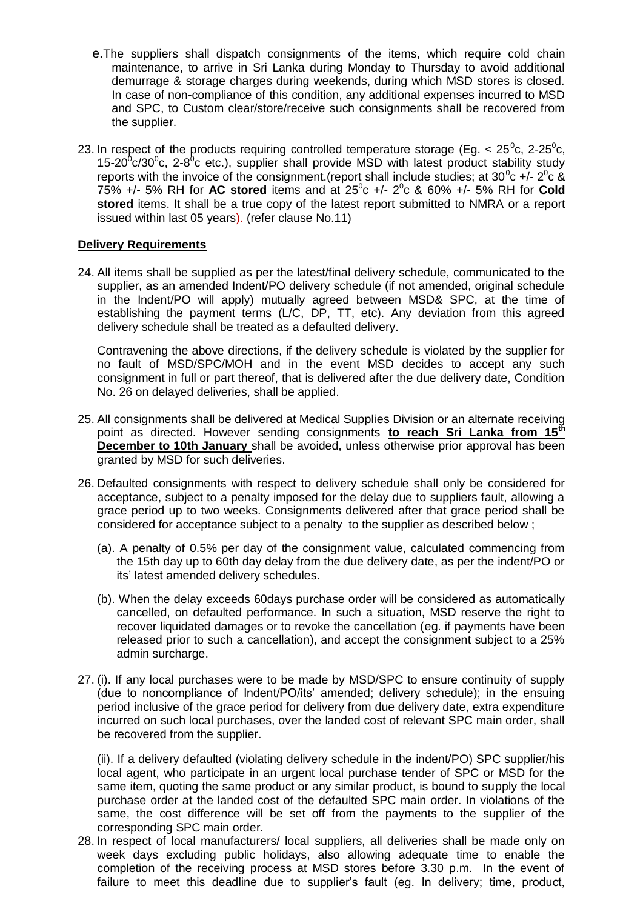- e.The suppliers shall dispatch consignments of the items, which require cold chain maintenance, to arrive in Sri Lanka during Monday to Thursday to avoid additional demurrage & storage charges during weekends, during which MSD stores is closed. In case of non-compliance of this condition, any additional expenses incurred to MSD and SPC, to Custom clear/store/receive such consignments shall be recovered from the supplier.
- 23. In respect of the products requiring controlled temperature storage (Eg.  $< 25^{\circ}$ c, 2-25 $^{\circ}$ c, 15-20 $\mathrm{^0c/30^0c}$ , 2-8 $\mathrm{^0c}$  etc.), supplier shall provide MSD with latest product stability study reports with the invoice of the consignment (report shall include studies; at 30<sup>°</sup>c +/- 2<sup>°</sup>c & 75%  $+/-$  5% RH for **AC stored** items and at 25<sup>°</sup>c  $+/-$  2<sup>°</sup>c & 60%  $+/-$  5% RH for **Cold stored** items. It shall be a true copy of the latest report submitted to NMRA or a report issued within last 05 years). (refer clause No.11)

#### **Delivery Requirements**

24. All items shall be supplied as per the latest/final delivery schedule, communicated to the supplier, as an amended Indent/PO delivery schedule (if not amended, original schedule in the Indent/PO will apply) mutually agreed between MSD& SPC, at the time of establishing the payment terms (L/C, DP, TT, etc). Any deviation from this agreed delivery schedule shall be treated as a defaulted delivery.

Contravening the above directions, if the delivery schedule is violated by the supplier for no fault of MSD/SPC/MOH and in the event MSD decides to accept any such consignment in full or part thereof, that is delivered after the due delivery date, Condition No. 26 on delayed deliveries, shall be applied.

- 25. All consignments shall be delivered at Medical Supplies Division or an alternate receiving point as directed. However sending consignments **to reach Sri Lanka from 15th December to 10th January** shall be avoided, unless otherwise prior approval has been granted by MSD for such deliveries.
- 26. Defaulted consignments with respect to delivery schedule shall only be considered for acceptance, subject to a penalty imposed for the delay due to suppliers fault, allowing a grace period up to two weeks. Consignments delivered after that grace period shall be considered for acceptance subject to a penalty to the supplier as described below ;
	- (a). A penalty of 0.5% per day of the consignment value, calculated commencing from the 15th day up to 60th day delay from the due delivery date, as per the indent/PO or its" latest amended delivery schedules.
	- (b). When the delay exceeds 60days purchase order will be considered as automatically cancelled, on defaulted performance. In such a situation, MSD reserve the right to recover liquidated damages or to revoke the cancellation (eg. if payments have been released prior to such a cancellation), and accept the consignment subject to a 25% admin surcharge.
- 27. (i). If any local purchases were to be made by MSD/SPC to ensure continuity of supply (due to noncompliance of Indent/PO/its" amended; delivery schedule); in the ensuing period inclusive of the grace period for delivery from due delivery date, extra expenditure incurred on such local purchases, over the landed cost of relevant SPC main order, shall be recovered from the supplier.

(ii). If a delivery defaulted (violating delivery schedule in the indent/PO) SPC supplier/his local agent, who participate in an urgent local purchase tender of SPC or MSD for the same item, quoting the same product or any similar product, is bound to supply the local purchase order at the landed cost of the defaulted SPC main order. In violations of the same, the cost difference will be set off from the payments to the supplier of the corresponding SPC main order.

28. In respect of local manufacturers/ local suppliers, all deliveries shall be made only on week days excluding public holidays, also allowing adequate time to enable the completion of the receiving process at MSD stores before 3.30 p.m. In the event of failure to meet this deadline due to supplier's fault (eq. In delivery; time, product,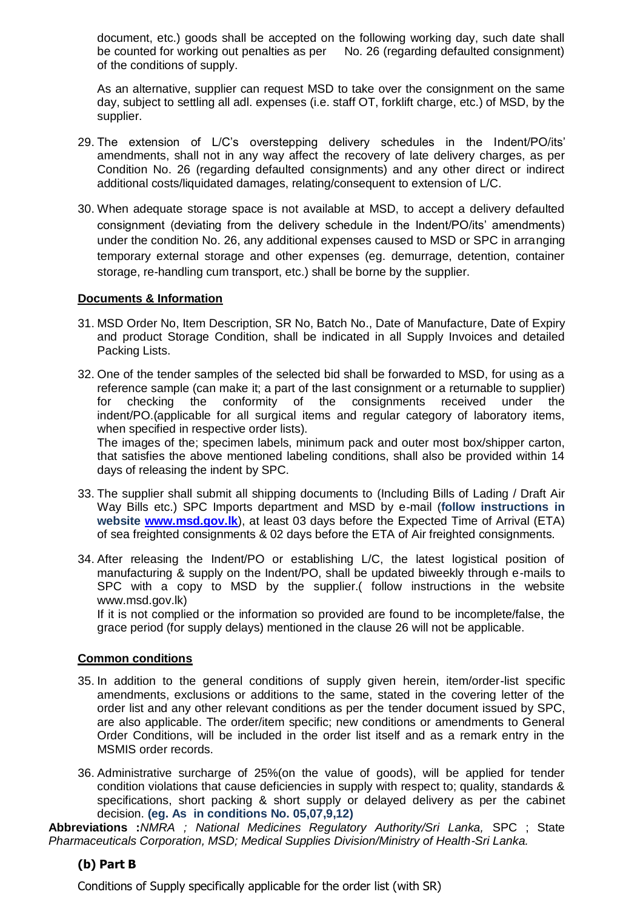document, etc.) goods shall be accepted on the following working day, such date shall be counted for working out penalties as per No. 26 (regarding defaulted consignment) of the conditions of supply.

As an alternative, supplier can request MSD to take over the consignment on the same day, subject to settling all adl. expenses (i.e. staff OT, forklift charge, etc.) of MSD, by the supplier.

- 29. The extension of L/C"s overstepping delivery schedules in the Indent/PO/its" amendments, shall not in any way affect the recovery of late delivery charges, as per Condition No. 26 (regarding defaulted consignments) and any other direct or indirect additional costs/liquidated damages, relating/consequent to extension of L/C.
- 30. When adequate storage space is not available at MSD, to accept a delivery defaulted consignment (deviating from the delivery schedule in the Indent/PO/its" amendments) under the condition No. 26, any additional expenses caused to MSD or SPC in arranging temporary external storage and other expenses (eg. demurrage, detention, container storage, re-handling cum transport, etc.) shall be borne by the supplier.

#### **Documents & Information**

- 31. MSD Order No, Item Description, SR No, Batch No., Date of Manufacture, Date of Expiry and product Storage Condition, shall be indicated in all Supply Invoices and detailed Packing Lists.
- 32. One of the tender samples of the selected bid shall be forwarded to MSD, for using as a reference sample (can make it; a part of the last consignment or a returnable to supplier) for checking the conformity of the consignments received under the indent/PO.(applicable for all surgical items and regular category of laboratory items, when specified in respective order lists).

The images of the; specimen labels, minimum pack and outer most box/shipper carton, that satisfies the above mentioned labeling conditions, shall also be provided within 14 days of releasing the indent by SPC.

- 33. The supplier shall submit all shipping documents to (Including Bills of Lading / Draft Air Way Bills etc.) SPC Imports department and MSD by e-mail (**follow instructions in website [www.msd.gov.lk](http://www.msd.gov.lk/)**), at least 03 days before the Expected Time of Arrival (ETA) of sea freighted consignments & 02 days before the ETA of Air freighted consignments.
- 34. After releasing the Indent/PO or establishing L/C, the latest logistical position of manufacturing & supply on the Indent/PO, shall be updated biweekly through e-mails to SPC with a copy to MSD by the supplier.( follow instructions in the website www.msd.gov.lk)

If it is not complied or the information so provided are found to be incomplete/false, the grace period (for supply delays) mentioned in the clause 26 will not be applicable.

#### **Common conditions**

- 35. In addition to the general conditions of supply given herein, item/order-list specific amendments, exclusions or additions to the same, stated in the covering letter of the order list and any other relevant conditions as per the tender document issued by SPC, are also applicable. The order/item specific; new conditions or amendments to General Order Conditions, will be included in the order list itself and as a remark entry in the MSMIS order records.
- 36. Administrative surcharge of 25%(on the value of goods), will be applied for tender condition violations that cause deficiencies in supply with respect to; quality, standards & specifications, short packing & short supply or delayed delivery as per the cabinet decision. **(eg. As in conditions No. 05,07,9,12)**

**Abbreviations :***NMRA ; National Medicines Regulatory Authority/Sri Lanka,* SPC ; State *Pharmaceuticals Corporation, MSD; Medical Supplies Division/Ministry of Health-Sri Lanka.*

### **(b) Part B**

Conditions of Supply specifically applicable for the order list (with SR)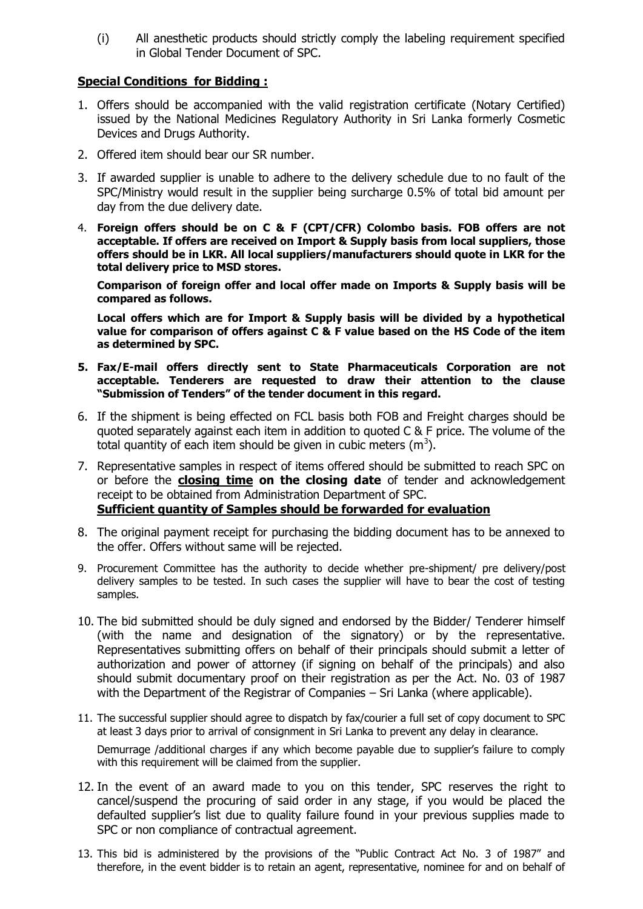(i) All anesthetic products should strictly comply the labeling requirement specified in Global Tender Document of SPC.

#### **Special Conditions for Bidding :**

- 1. Offers should be accompanied with the valid registration certificate (Notary Certified) issued by the National Medicines Regulatory Authority in Sri Lanka formerly Cosmetic Devices and Drugs Authority.
- 2. Offered item should bear our SR number.
- 3. If awarded supplier is unable to adhere to the delivery schedule due to no fault of the SPC/Ministry would result in the supplier being surcharge 0.5% of total bid amount per day from the due delivery date.
- 4. **Foreign offers should be on C & F (CPT/CFR) Colombo basis. FOB offers are not acceptable. If offers are received on Import & Supply basis from local suppliers, those offers should be in LKR. All local suppliers/manufacturers should quote in LKR for the total delivery price to MSD stores.**

**Comparison of foreign offer and local offer made on Imports & Supply basis will be compared as follows.**

**Local offers which are for Import & Supply basis will be divided by a hypothetical value for comparison of offers against C & F value based on the HS Code of the item as determined by SPC.**

- **5. Fax/E-mail offers directly sent to State Pharmaceuticals Corporation are not acceptable. Tenderers are requested to draw their attention to the clause "Submission of Tenders" of the tender document in this regard.**
- 6. If the shipment is being effected on FCL basis both FOB and Freight charges should be quoted separately against each item in addition to quoted C & F price. The volume of the total quantity of each item should be given in cubic meters (m<sup>3</sup>).
- 7. Representative samples in respect of items offered should be submitted to reach SPC on or before the **closing time on the closing date** of tender and acknowledgement receipt to be obtained from Administration Department of SPC. **Sufficient quantity of Samples should be forwarded for evaluation**
- 8. The original payment receipt for purchasing the bidding document has to be annexed to the offer. Offers without same will be rejected.
- 9. Procurement Committee has the authority to decide whether pre-shipment/ pre delivery/post delivery samples to be tested. In such cases the supplier will have to bear the cost of testing samples.
- 10. The bid submitted should be duly signed and endorsed by the Bidder/ Tenderer himself (with the name and designation of the signatory) or by the representative. Representatives submitting offers on behalf of their principals should submit a letter of authorization and power of attorney (if signing on behalf of the principals) and also should submit documentary proof on their registration as per the Act. No. 03 of 1987 with the Department of the Registrar of Companies – Sri Lanka (where applicable).
- 11. The successful supplier should agree to dispatch by fax/courier a full set of copy document to SPC at least 3 days prior to arrival of consignment in Sri Lanka to prevent any delay in clearance.

Demurrage /additional charges if any which become payable due to supplier's failure to comply with this requirement will be claimed from the supplier.

- 12. In the event of an award made to you on this tender, SPC reserves the right to cancel/suspend the procuring of said order in any stage, if you would be placed the defaulted supplier's list due to quality failure found in your previous supplies made to SPC or non compliance of contractual agreement.
- 13. This bid is administered by the provisions of the "Public Contract Act No. 3 of 1987" and therefore, in the event bidder is to retain an agent, representative, nominee for and on behalf of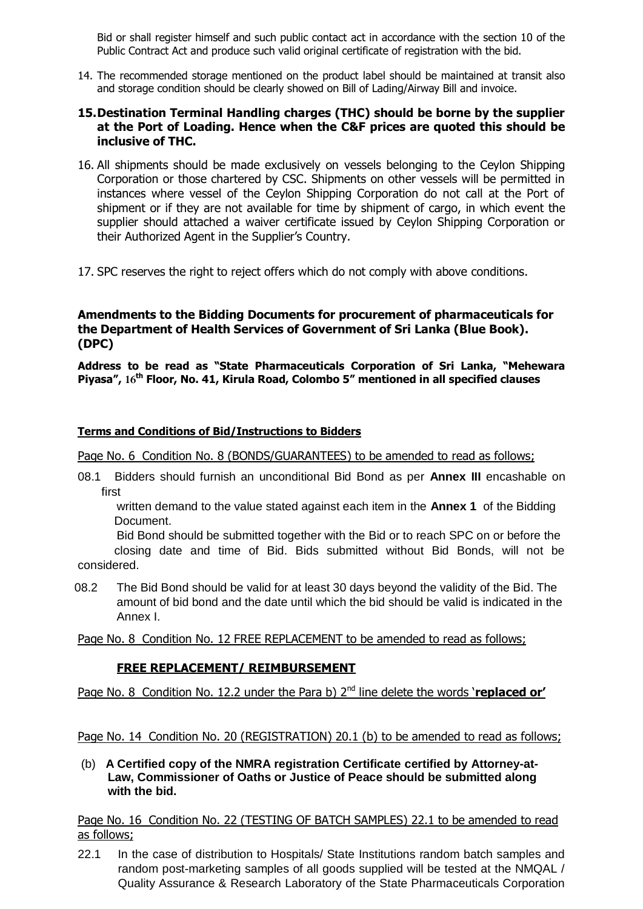Bid or shall register himself and such public contact act in accordance with the section 10 of the Public Contract Act and produce such valid original certificate of registration with the bid.

- 14. The recommended storage mentioned on the product label should be maintained at transit also and storage condition should be clearly showed on Bill of Lading/Airway Bill and invoice.
- **15.Destination Terminal Handling charges (THC) should be borne by the supplier at the Port of Loading. Hence when the C&F prices are quoted this should be inclusive of THC.**
- 16. All shipments should be made exclusively on vessels belonging to the Ceylon Shipping Corporation or those chartered by CSC. Shipments on other vessels will be permitted in instances where vessel of the Ceylon Shipping Corporation do not call at the Port of shipment or if they are not available for time by shipment of cargo, in which event the supplier should attached a waiver certificate issued by Ceylon Shipping Corporation or their Authorized Agent in the Supplier's Country.
- 17. SPC reserves the right to reject offers which do not comply with above conditions.

#### **Amendments to the Bidding Documents for procurement of pharmaceuticals for the Department of Health Services of Government of Sri Lanka (Blue Book). (DPC)**

**Address to be read as "State Pharmaceuticals Corporation of Sri Lanka, "Mehewara Piyasa", 16th Floor, No. 41, Kirula Road, Colombo 5" mentioned in all specified clauses**

#### **Terms and Conditions of Bid/Instructions to Bidders**

Page No. 6 Condition No. 8 (BONDS/GUARANTEES) to be amended to read as follows;

08.1 Bidders should furnish an unconditional Bid Bond as per **Annex III** encashable on first

written demand to the value stated against each item in the **Annex 1** of the Bidding Document.

Bid Bond should be submitted together with the Bid or to reach SPC on or before the closing date and time of Bid. Bids submitted without Bid Bonds, will not be considered.

08.2 The Bid Bond should be valid for at least 30 days beyond the validity of the Bid. The amount of bid bond and the date until which the bid should be valid is indicated in the Annex I.

Page No. 8 Condition No. 12 FREE REPLACEMENT to be amended to read as follows;

#### **FREE REPLACEMENT/ REIMBURSEMENT**

Page No. 8 Condition No. 12.2 under the Para b) 2<sup>nd</sup> line delete the words 'replaced or'

Page No. 14 Condition No. 20 (REGISTRATION) 20.1 (b) to be amended to read as follows;

(b) **A Certified copy of the NMRA registration Certificate certified by Attorney-at- Law, Commissioner of Oaths or Justice of Peace should be submitted along with the bid.**

Page No. 16 Condition No. 22 (TESTING OF BATCH SAMPLES) 22.1 to be amended to read as follows;

22.1 In the case of distribution to Hospitals/ State Institutions random batch samples and random post-marketing samples of all goods supplied will be tested at the NMQAL / Quality Assurance & Research Laboratory of the State Pharmaceuticals Corporation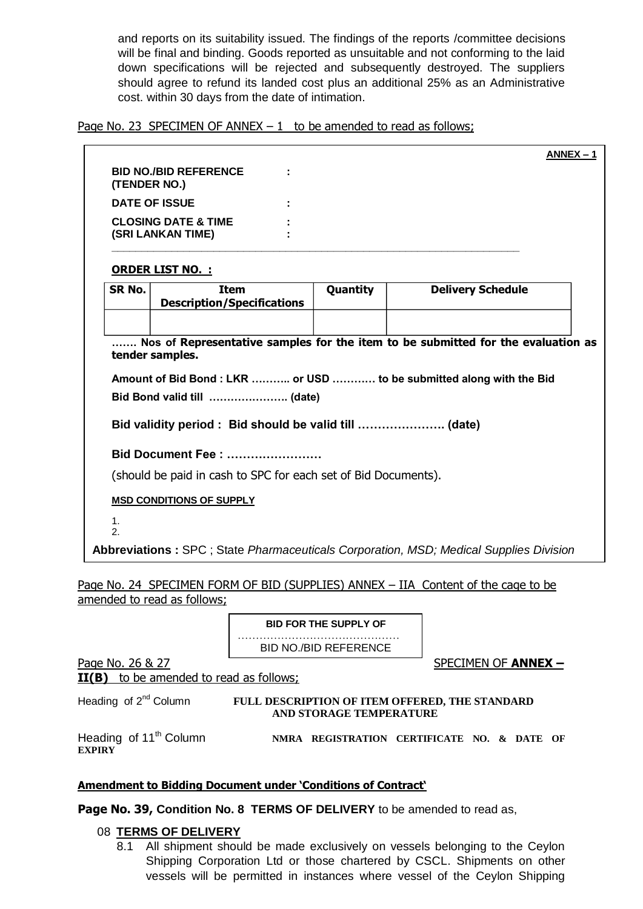and reports on its suitability issued. The findings of the reports /committee decisions will be final and binding. Goods reported as unsuitable and not conforming to the laid down specifications will be rejected and subsequently destroyed. The suppliers should agree to refund its landed cost plus an additional 25% as an Administrative cost. within 30 days from the date of intimation.

Page No. 23 SPECIMEN OF ANNEX  $-1$  to be amended to read as follows;

|              |                                                                |          | $ANNEX - 1$                                                         |
|--------------|----------------------------------------------------------------|----------|---------------------------------------------------------------------|
| (TENDER NO.) | <b>BID NO./BID REFERENCE</b>                                   |          |                                                                     |
|              | <b>DATE OF ISSUE</b>                                           |          |                                                                     |
|              | <b>CLOSING DATE &amp; TIME</b><br>(SRI LANKAN TIME)            |          |                                                                     |
|              | <b>ORDER LIST NO. :</b>                                        |          |                                                                     |
| SR No.       | <b>Item</b><br><b>Description/Specifications</b>               | Quantity | <b>Delivery Schedule</b>                                            |
|              |                                                                |          |                                                                     |
|              | tender samples.<br>Bid Bond valid till  (date)                 |          | Amount of Bid Bond: LKR  or USD  to be submitted along with the Bid |
|              |                                                                |          |                                                                     |
|              | Bid validity period : Bid should be valid till  (date)         |          |                                                                     |
|              | Bid Document Fee:                                              |          |                                                                     |
|              | (should be paid in cash to SPC for each set of Bid Documents). |          |                                                                     |
|              | <b>MSD CONDITIONS OF SUPPLY</b>                                |          |                                                                     |
| 1.<br>2.     |                                                                |          |                                                                     |

Page No. 24 SPECIMEN FORM OF BID (SUPPLIES) ANNEX – IIA Content of the cage to be amended to read as follows;

> **BID FOR THE SUPPLY OF** ……………………………………… BID NO./BID REFERENCE

Page No. 26 & 27 **SPECIMEN OF ANNEX – II(B)** to be amended to read as follows;

#### Heading of 2<sup>nd</sup> Column **FULL DESCRIPTION OF ITEM OFFERED, THE STANDARD AND STORAGE TEMPERATURE**

**EXPIRY**

Heading of 11<sup>th</sup> Column **NMRA REGISTRATION CERTIFICATE NO. & DATE OF** 

#### **Amendment to Bidding Document under "Conditions of Contract"**

**Page No. 39, Condition No. 8 TERMS OF DELIVERY** to be amended to read as,

#### 08 **TERMS OF DELIVERY**

8.1 All shipment should be made exclusively on vessels belonging to the Ceylon Shipping Corporation Ltd or those chartered by CSCL. Shipments on other vessels will be permitted in instances where vessel of the Ceylon Shipping